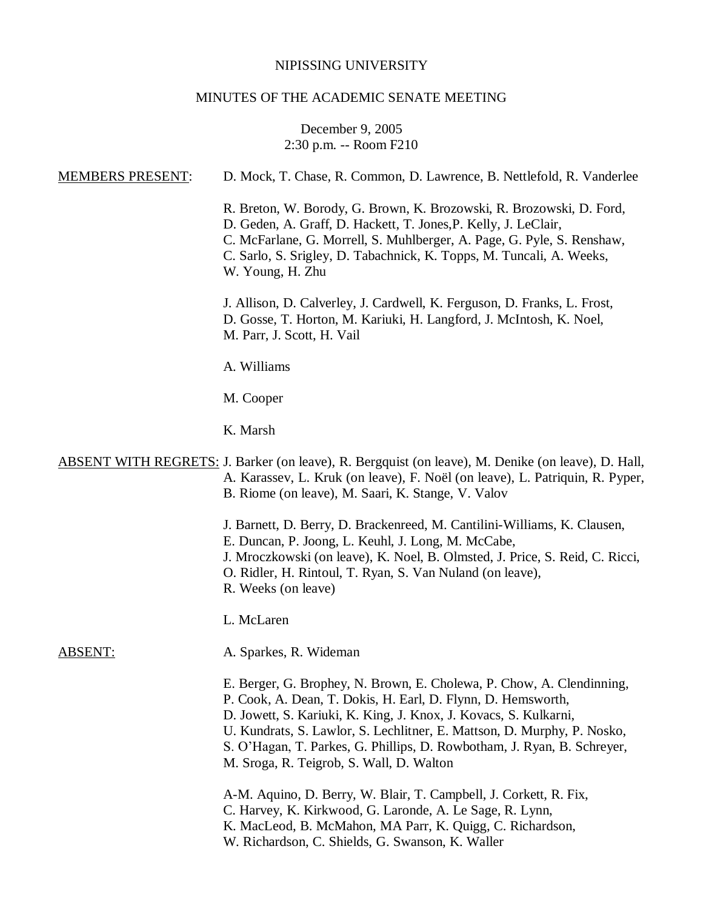# NIPISSING UNIVERSITY

# MINUTES OF THE ACADEMIC SENATE MEETING

# December 9, 2005 2:30 p.m. -- Room F210

| <b>MEMBERS PRESENT:</b> | D. Mock, T. Chase, R. Common, D. Lawrence, B. Nettlefold, R. Vanderlee                                                                                                                                                                                                                                                                                                                                      |
|-------------------------|-------------------------------------------------------------------------------------------------------------------------------------------------------------------------------------------------------------------------------------------------------------------------------------------------------------------------------------------------------------------------------------------------------------|
|                         | R. Breton, W. Borody, G. Brown, K. Brozowski, R. Brozowski, D. Ford,<br>D. Geden, A. Graff, D. Hackett, T. Jones, P. Kelly, J. LeClair,<br>C. McFarlane, G. Morrell, S. Muhlberger, A. Page, G. Pyle, S. Renshaw,<br>C. Sarlo, S. Srigley, D. Tabachnick, K. Topps, M. Tuncali, A. Weeks,<br>W. Young, H. Zhu                                                                                               |
|                         | J. Allison, D. Calverley, J. Cardwell, K. Ferguson, D. Franks, L. Frost,<br>D. Gosse, T. Horton, M. Kariuki, H. Langford, J. McIntosh, K. Noel,<br>M. Parr, J. Scott, H. Vail                                                                                                                                                                                                                               |
|                         | A. Williams                                                                                                                                                                                                                                                                                                                                                                                                 |
|                         | M. Cooper                                                                                                                                                                                                                                                                                                                                                                                                   |
|                         | K. Marsh                                                                                                                                                                                                                                                                                                                                                                                                    |
|                         | ABSENT WITH REGRETS: J. Barker (on leave), R. Bergquist (on leave), M. Denike (on leave), D. Hall,<br>A. Karassev, L. Kruk (on leave), F. Noël (on leave), L. Patriquin, R. Pyper,<br>B. Riome (on leave), M. Saari, K. Stange, V. Valov                                                                                                                                                                    |
|                         | J. Barnett, D. Berry, D. Brackenreed, M. Cantilini-Williams, K. Clausen,<br>E. Duncan, P. Joong, L. Keuhl, J. Long, M. McCabe,<br>J. Mroczkowski (on leave), K. Noel, B. Olmsted, J. Price, S. Reid, C. Ricci,<br>O. Ridler, H. Rintoul, T. Ryan, S. Van Nuland (on leave),<br>R. Weeks (on leave)                                                                                                          |
|                         | L. McLaren                                                                                                                                                                                                                                                                                                                                                                                                  |
| <b>ABSENT:</b>          | A. Sparkes, R. Wideman                                                                                                                                                                                                                                                                                                                                                                                      |
|                         | E. Berger, G. Brophey, N. Brown, E. Cholewa, P. Chow, A. Clendinning,<br>P. Cook, A. Dean, T. Dokis, H. Earl, D. Flynn, D. Hemsworth,<br>D. Jowett, S. Kariuki, K. King, J. Knox, J. Kovacs, S. Kulkarni,<br>U. Kundrats, S. Lawlor, S. Lechlitner, E. Mattson, D. Murphy, P. Nosko,<br>S. O'Hagan, T. Parkes, G. Phillips, D. Rowbotham, J. Ryan, B. Schreyer,<br>M. Sroga, R. Teigrob, S. Wall, D. Walton |
|                         | A-M. Aquino, D. Berry, W. Blair, T. Campbell, J. Corkett, R. Fix,<br>C. Harvey, K. Kirkwood, G. Laronde, A. Le Sage, R. Lynn,<br>K. MacLeod, B. McMahon, MA Parr, K. Quigg, C. Richardson,<br>W. Richardson, C. Shields, G. Swanson, K. Waller                                                                                                                                                              |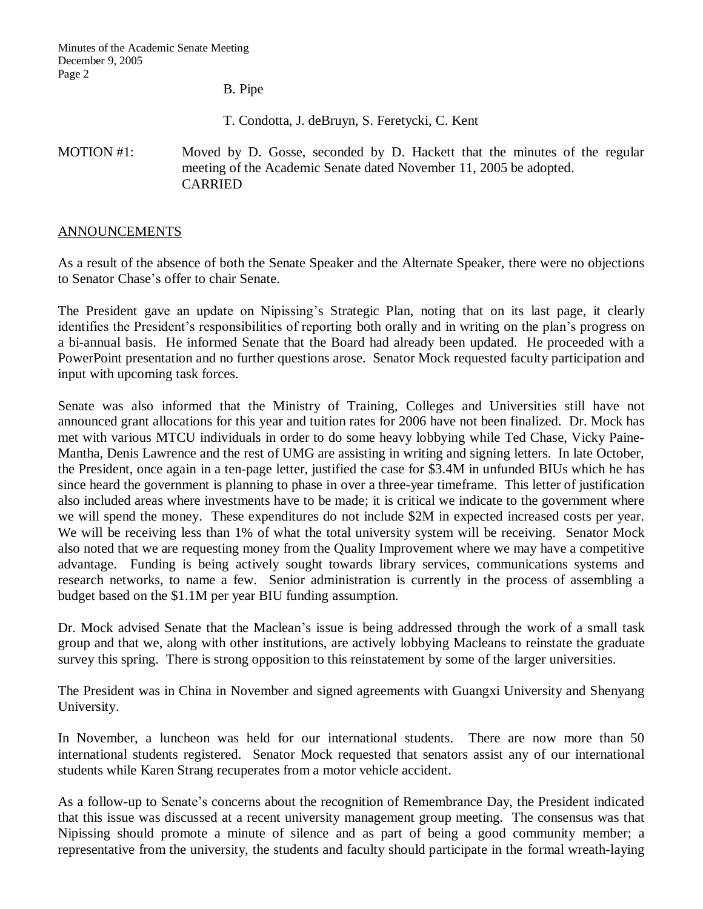B. Pipe

T. Condotta, J. deBruyn, S. Feretycki, C. Kent

MOTION #1: Moved by D. Gosse, seconded by D. Hackett that the minutes of the regular meeting of the Academic Senate dated November 11, 2005 be adopted. CARRIED

## ANNOUNCEMENTS

As a result of the absence of both the Senate Speaker and the Alternate Speaker, there were no objections to Senator Chase's offer to chair Senate.

The President gave an update on Nipissing's Strategic Plan, noting that on its last page, it clearly identifies the President's responsibilities of reporting both orally and in writing on the plan's progress on a bi-annual basis. He informed Senate that the Board had already been updated. He proceeded with a PowerPoint presentation and no further questions arose. Senator Mock requested faculty participation and input with upcoming task forces.

Senate was also informed that the Ministry of Training, Colleges and Universities still have not announced grant allocations for this year and tuition rates for 2006 have not been finalized. Dr. Mock has met with various MTCU individuals in order to do some heavy lobbying while Ted Chase, Vicky Paine-Mantha, Denis Lawrence and the rest of UMG are assisting in writing and signing letters. In late October, the President, once again in a ten-page letter, justified the case for \$3.4M in unfunded BIUs which he has since heard the government is planning to phase in over a three-year timeframe. This letter of justification also included areas where investments have to be made; it is critical we indicate to the government where we will spend the money. These expenditures do not include \$2M in expected increased costs per year. We will be receiving less than 1% of what the total university system will be receiving. Senator Mock also noted that we are requesting money from the Quality Improvement where we may have a competitive advantage. Funding is being actively sought towards library services, communications systems and research networks, to name a few. Senior administration is currently in the process of assembling a budget based on the \$1.1M per year BIU funding assumption.

Dr. Mock advised Senate that the Maclean's issue is being addressed through the work of a small task group and that we, along with other institutions, are actively lobbying Macleans to reinstate the graduate survey this spring. There is strong opposition to this reinstatement by some of the larger universities.

The President was in China in November and signed agreements with Guangxi University and Shenyang University.

In November, a luncheon was held for our international students. There are now more than 50 international students registered. Senator Mock requested that senators assist any of our international students while Karen Strang recuperates from a motor vehicle accident.

As a follow-up to Senate's concerns about the recognition of Remembrance Day, the President indicated that this issue was discussed at a recent university management group meeting. The consensus was that Nipissing should promote a minute of silence and as part of being a good community member; a representative from the university, the students and faculty should participate in the formal wreath-laying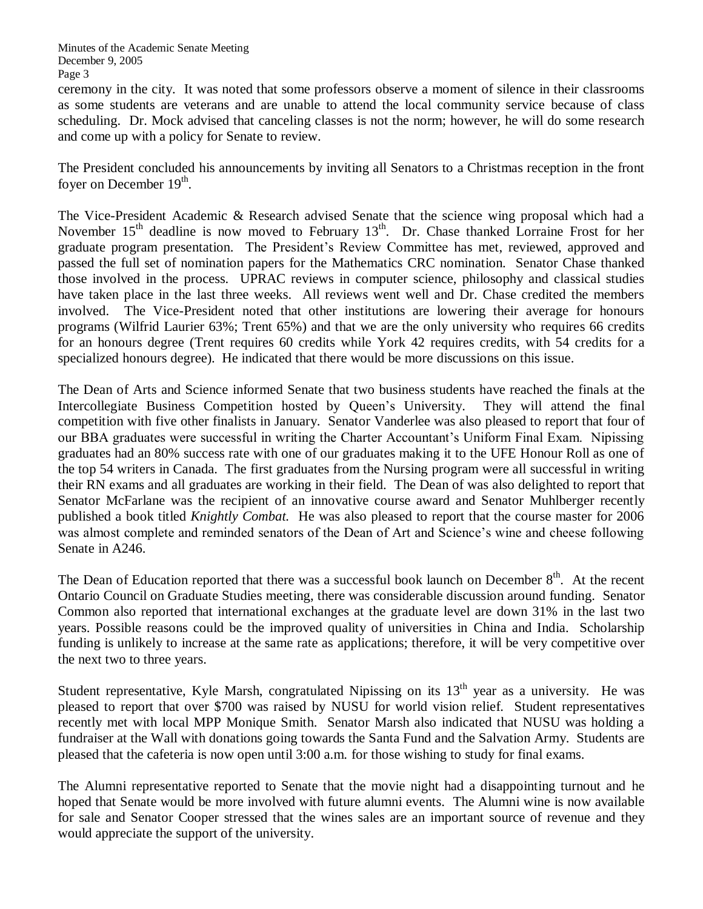ceremony in the city. It was noted that some professors observe a moment of silence in their classrooms as some students are veterans and are unable to attend the local community service because of class scheduling. Dr. Mock advised that canceling classes is not the norm; however, he will do some research and come up with a policy for Senate to review.

The President concluded his announcements by inviting all Senators to a Christmas reception in the front foyer on December 19<sup>th</sup>.

The Vice-President Academic & Research advised Senate that the science wing proposal which had a November  $15<sup>th</sup>$  deadline is now moved to February  $13<sup>th</sup>$ . Dr. Chase thanked Lorraine Frost for her graduate program presentation. The President's Review Committee has met, reviewed, approved and passed the full set of nomination papers for the Mathematics CRC nomination. Senator Chase thanked those involved in the process. UPRAC reviews in computer science, philosophy and classical studies have taken place in the last three weeks. All reviews went well and Dr. Chase credited the members involved. The Vice-President noted that other institutions are lowering their average for honours programs (Wilfrid Laurier 63%; Trent 65%) and that we are the only university who requires 66 credits for an honours degree (Trent requires 60 credits while York 42 requires credits, with 54 credits for a specialized honours degree). He indicated that there would be more discussions on this issue.

The Dean of Arts and Science informed Senate that two business students have reached the finals at the Intercollegiate Business Competition hosted by Queen's University. They will attend the final competition with five other finalists in January. Senator Vanderlee was also pleased to report that four of our BBA graduates were successful in writing the Charter Accountant's Uniform Final Exam. Nipissing graduates had an 80% success rate with one of our graduates making it to the UFE Honour Roll as one of the top 54 writers in Canada. The first graduates from the Nursing program were all successful in writing their RN exams and all graduates are working in their field. The Dean of was also delighted to report that Senator McFarlane was the recipient of an innovative course award and Senator Muhlberger recently published a book titled *Knightly Combat.* He was also pleased to report that the course master for 2006 was almost complete and reminded senators of the Dean of Art and Science's wine and cheese following Senate in A246.

The Dean of Education reported that there was a successful book launch on December  $8<sup>th</sup>$ . At the recent Ontario Council on Graduate Studies meeting, there was considerable discussion around funding. Senator Common also reported that international exchanges at the graduate level are down 31% in the last two years. Possible reasons could be the improved quality of universities in China and India. Scholarship funding is unlikely to increase at the same rate as applications; therefore, it will be very competitive over the next two to three years.

Student representative, Kyle Marsh, congratulated Nipissing on its  $13<sup>th</sup>$  year as a university. He was pleased to report that over \$700 was raised by NUSU for world vision relief. Student representatives recently met with local MPP Monique Smith. Senator Marsh also indicated that NUSU was holding a fundraiser at the Wall with donations going towards the Santa Fund and the Salvation Army. Students are pleased that the cafeteria is now open until 3:00 a.m. for those wishing to study for final exams.

The Alumni representative reported to Senate that the movie night had a disappointing turnout and he hoped that Senate would be more involved with future alumni events. The Alumni wine is now available for sale and Senator Cooper stressed that the wines sales are an important source of revenue and they would appreciate the support of the university.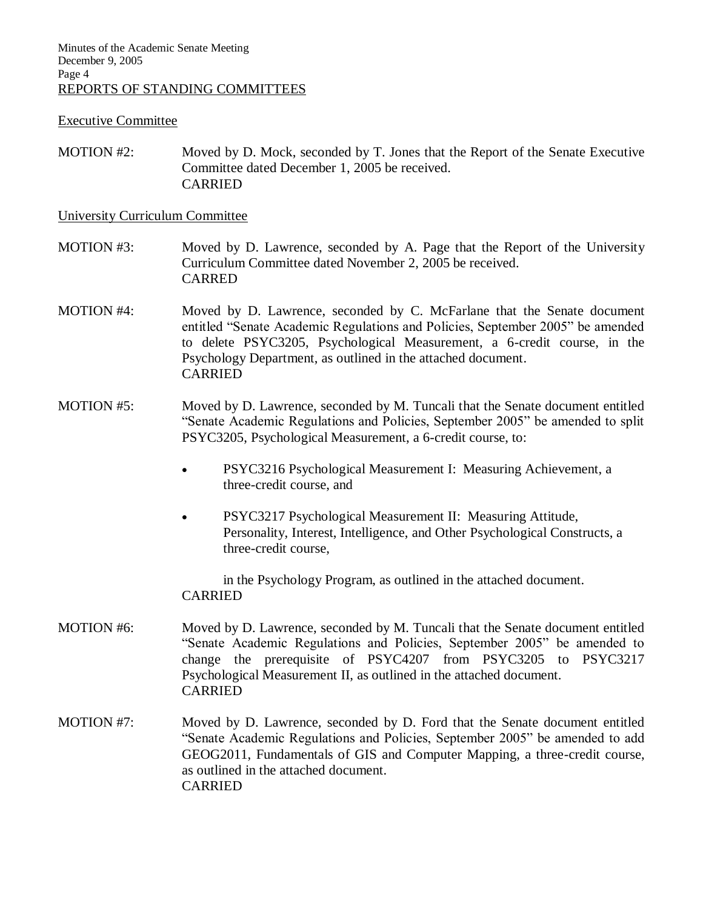## Executive Committee

MOTION #2: Moved by D. Mock, seconded by T. Jones that the Report of the Senate Executive Committee dated December 1, 2005 be received. CARRIED

### University Curriculum Committee

- MOTION #3: Moved by D. Lawrence, seconded by A. Page that the Report of the University Curriculum Committee dated November 2, 2005 be received. CARRED
- MOTION #4: Moved by D. Lawrence, seconded by C. McFarlane that the Senate document entitled "Senate Academic Regulations and Policies, September 2005" be amended to delete PSYC3205, Psychological Measurement, a 6-credit course, in the Psychology Department, as outlined in the attached document. CARRIED
- MOTION #5: Moved by D. Lawrence, seconded by M. Tuncali that the Senate document entitled "Senate Academic Regulations and Policies, September 2005" be amended to split PSYC3205, Psychological Measurement, a 6-credit course, to:
	- PSYC3216 Psychological Measurement I: Measuring Achievement, a three-credit course, and
	- PSYC3217 Psychological Measurement II: Measuring Attitude, Personality, Interest, Intelligence, and Other Psychological Constructs, a three-credit course,

in the Psychology Program, as outlined in the attached document. CARRIED

- MOTION #6: Moved by D. Lawrence, seconded by M. Tuncali that the Senate document entitled "Senate Academic Regulations and Policies, September 2005" be amended to change the prerequisite of PSYC4207 from PSYC3205 to PSYC3217 Psychological Measurement II, as outlined in the attached document. CARRIED
- MOTION #7: Moved by D. Lawrence, seconded by D. Ford that the Senate document entitled "Senate Academic Regulations and Policies, September 2005" be amended to add GEOG2011, Fundamentals of GIS and Computer Mapping, a three-credit course, as outlined in the attached document. CARRIED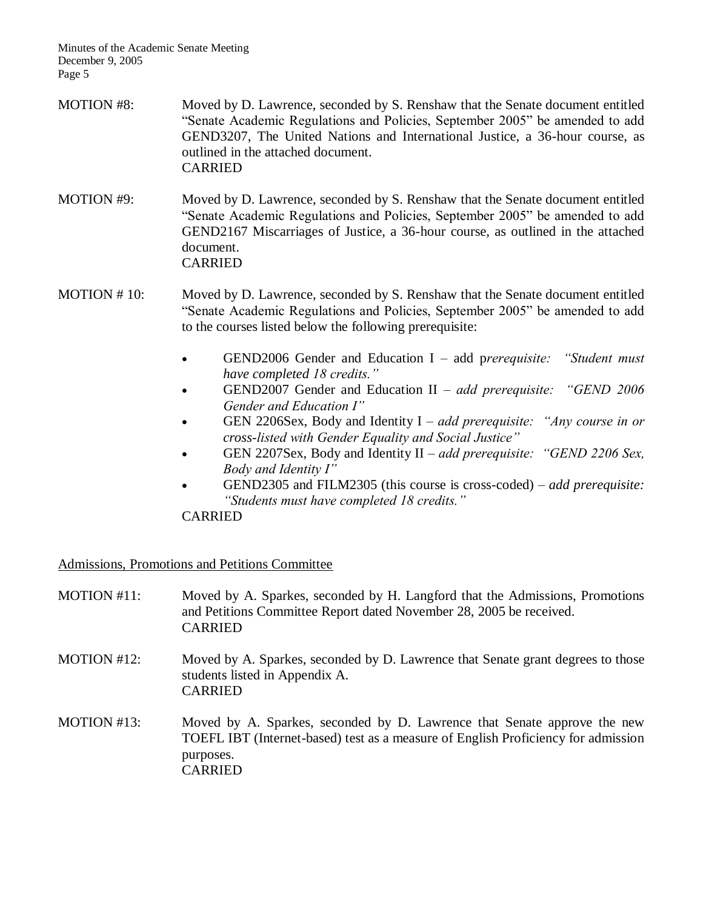- MOTION #8: Moved by D. Lawrence, seconded by S. Renshaw that the Senate document entitled "Senate Academic Regulations and Policies, September 2005" be amended to add GEND3207, The United Nations and International Justice, a 36-hour course, as outlined in the attached document. CARRIED
- MOTION #9: Moved by D. Lawrence, seconded by S. Renshaw that the Senate document entitled "Senate Academic Regulations and Policies, September 2005" be amended to add GEND2167 Miscarriages of Justice, a 36-hour course, as outlined in the attached document. CARRIED
- MOTION # 10: Moved by D. Lawrence, seconded by S. Renshaw that the Senate document entitled "Senate Academic Regulations and Policies, September 2005" be amended to add to the courses listed below the following prerequisite:
	- GEND2006 Gender and Education I add p*rerequisite: "Student must have completed 18 credits."*
	- GEND2007 Gender and Education II *add prerequisite: "GEND 2006 Gender and Education I"*
	- GEN 2206Sex, Body and Identity I *add prerequisite: "Any course in or cross-listed with Gender Equality and Social Justice"*
	- GEN 2207Sex, Body and Identity II *add prerequisite: "GEND 2206 Sex, Body and Identity I"*
	- GEND2305 and FILM2305 (this course is cross-coded) *add prerequisite: "Students must have completed 18 credits."*

CARRIED

Admissions, Promotions and Petitions Committee

MOTION #11: Moved by A. Sparkes, seconded by H. Langford that the Admissions, Promotions and Petitions Committee Report dated November 28, 2005 be received. CARRIED MOTION #12: Moved by A. Sparkes, seconded by D. Lawrence that Senate grant degrees to those students listed in Appendix A. CARRIED MOTION #13: Moved by A. Sparkes, seconded by D. Lawrence that Senate approve the new TOEFL IBT (Internet-based) test as a measure of English Proficiency for admission purposes. CARRIED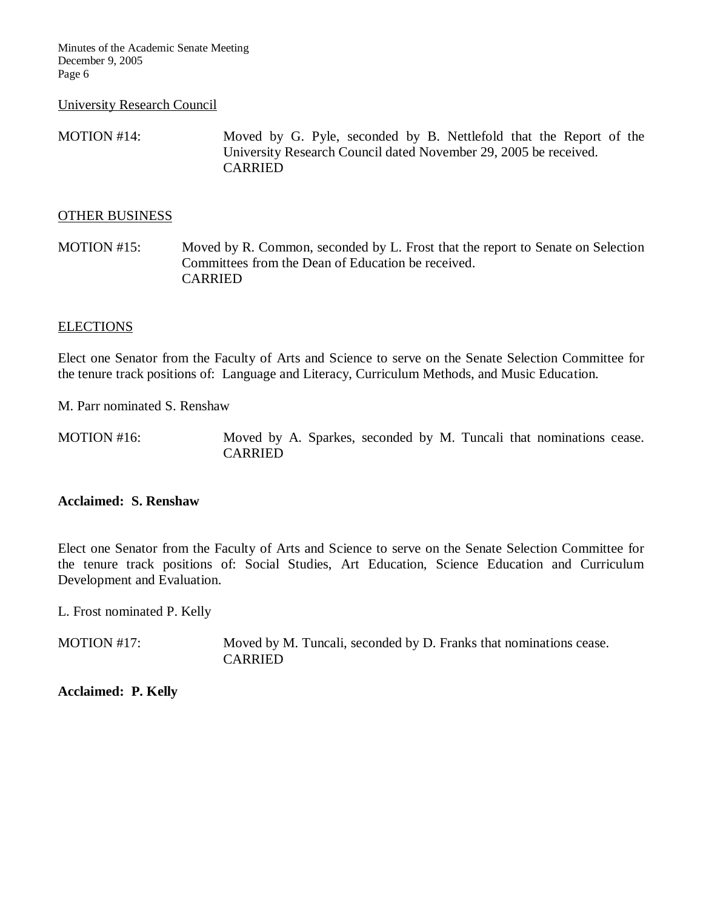#### University Research Council

MOTION #14: Moved by G. Pyle, seconded by B. Nettlefold that the Report of the University Research Council dated November 29, 2005 be received. CARRIED

## OTHER BUSINESS

MOTION #15: Moved by R. Common, seconded by L. Frost that the report to Senate on Selection Committees from the Dean of Education be received. CARRIED

# **ELECTIONS**

Elect one Senator from the Faculty of Arts and Science to serve on the Senate Selection Committee for the tenure track positions of: Language and Literacy, Curriculum Methods, and Music Education.

M. Parr nominated S. Renshaw

MOTION #16: Moved by A. Sparkes, seconded by M. Tuncali that nominations cease. CARRIED

## **Acclaimed: S. Renshaw**

Elect one Senator from the Faculty of Arts and Science to serve on the Senate Selection Committee for the tenure track positions of: Social Studies, Art Education, Science Education and Curriculum Development and Evaluation.

L. Frost nominated P. Kelly

MOTION #17: Moved by M. Tuncali, seconded by D. Franks that nominations cease. CARRIED

**Acclaimed: P. Kelly**